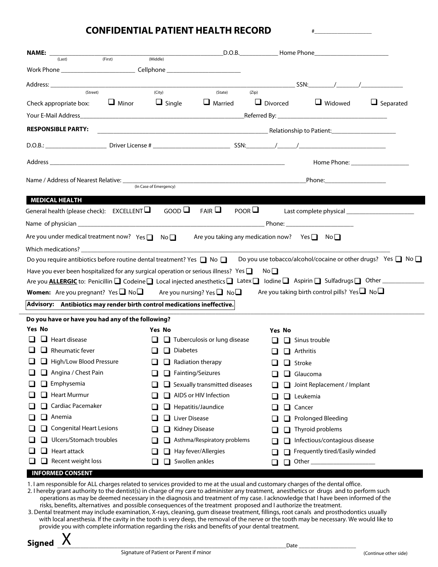## **CONFIDENTIAL PATIENT HEALTH RECORD**

| $\begin{array}{cccccccccccccc} & & & & & \end{array}$<br>(State)<br>(City)<br>(Zip)<br>(Street)<br>$\Box$ Divorced<br>$\Box$ Minor $\Box$ Single<br>$\Box$ Married<br>$\Box$ Widowed $\Box$ Separated<br>Check appropriate box:<br><b>RESPONSIBLE PARTY:</b><br>Name / Address of Nearest Relative: <u>Container and the Case of Emergency</u><br>Phone: ______________________<br><b>MEDICAL HEALTH</b><br>$\mathsf{GOOD}\square$ FAIR $\square$<br>POOR $\Box$<br>General health (please check): $EXCELLENT$<br>Are you under medical treatment now? Yes $\Box$ No $\Box$ Are you taking any medication now? Yes $\Box$ No $\Box$<br>Do you use tobacco/alcohol/cocaine or other drugs? Yes $\Box$ No $\Box$<br>Do you require antibiotics before routine dental treatment? Yes $\Box$ No $\Box$<br>Have you ever been hospitalized for any surgical operation or serious illness? Yes $\Box$<br>No <sub>1</sub><br>Are you <b>ALLERGIC</b> to: Penicillin <b>Q</b> Codeine Local injected anesthetics Latex Lodine Aspirin Sulfadrugs Q Other<br>Are you taking birth control pills? Yes $\Box$ No $\Box$<br><b>Women:</b> Are you pregnant? Yes $\Box$ No $\Box$ Are you nursing? Yes $\Box$ No $\Box$<br>Advisory: Antibiotics may render birth control medications ineffective.<br>Do you have or have you had any of the following?<br><b>Yes No</b><br><b>Yes No</b><br><b>Yes No</b><br>$\Box$ Heart disease<br>$\Box$ Tuberculosis or lung disease<br>$\Box$ Sinus trouble<br>$\mathbf{I}$<br>$\Box$ Rheumatic fever<br>$\Box$ Diabetes<br>$\Box$ Arthritis<br>$\Box$<br>$\Box$ High/Low Blood Pressure<br>$\Box$ Radiation therapy<br>$\Box$ Stroke<br>$\Box$ Angina / Chest Pain<br>$\Box$ Fainting/Seizures<br>$\Box$ Glaucoma<br>$\Box$ Emphysemia<br>$\Box$ Sexually transmitted diseases<br>ப<br>Joint Replacement / Implant<br>ப<br>$\Box$ Heart Murmur<br>AIDS or HIV Infection<br>Leukemia<br>Cardiac Pacemaker<br>Hepatitis/Jaundice<br>Cancer<br>ப<br>ப<br>ப<br>ப<br>$\Box$ Anemia<br>Liver Disease<br>Prolonged Bleeding<br>⊔.<br><b>Congenital Heart Lesions</b><br>Kidney Disease<br>Thyroid problems<br>Ulcers/Stomach troubles<br>Asthma/Respiratory problems<br>Infectious/contagious disease<br>ப<br>Heart attack<br>Hay fever/Allergies<br>Frequently tired/Easily winded<br>ப | <b>NAME:</b> $\frac{[Last]}{[Last]}$ (First) (Middle) $\frac{[best]}{[best]}$ D.O.B. Home Phone | (Middle) |  |  |  |  |  |  |
|-------------------------------------------------------------------------------------------------------------------------------------------------------------------------------------------------------------------------------------------------------------------------------------------------------------------------------------------------------------------------------------------------------------------------------------------------------------------------------------------------------------------------------------------------------------------------------------------------------------------------------------------------------------------------------------------------------------------------------------------------------------------------------------------------------------------------------------------------------------------------------------------------------------------------------------------------------------------------------------------------------------------------------------------------------------------------------------------------------------------------------------------------------------------------------------------------------------------------------------------------------------------------------------------------------------------------------------------------------------------------------------------------------------------------------------------------------------------------------------------------------------------------------------------------------------------------------------------------------------------------------------------------------------------------------------------------------------------------------------------------------------------------------------------------------------------------------------------------------------------------------------------------------------------------------------------------------------------------------------------------------------------------------------------------------------------------------------------------------------------------------------------------------------------------------------------------------------------------------------------------------------------------------------------------------------|-------------------------------------------------------------------------------------------------|----------|--|--|--|--|--|--|
|                                                                                                                                                                                                                                                                                                                                                                                                                                                                                                                                                                                                                                                                                                                                                                                                                                                                                                                                                                                                                                                                                                                                                                                                                                                                                                                                                                                                                                                                                                                                                                                                                                                                                                                                                                                                                                                                                                                                                                                                                                                                                                                                                                                                                                                                                                             |                                                                                                 |          |  |  |  |  |  |  |
|                                                                                                                                                                                                                                                                                                                                                                                                                                                                                                                                                                                                                                                                                                                                                                                                                                                                                                                                                                                                                                                                                                                                                                                                                                                                                                                                                                                                                                                                                                                                                                                                                                                                                                                                                                                                                                                                                                                                                                                                                                                                                                                                                                                                                                                                                                             |                                                                                                 |          |  |  |  |  |  |  |
|                                                                                                                                                                                                                                                                                                                                                                                                                                                                                                                                                                                                                                                                                                                                                                                                                                                                                                                                                                                                                                                                                                                                                                                                                                                                                                                                                                                                                                                                                                                                                                                                                                                                                                                                                                                                                                                                                                                                                                                                                                                                                                                                                                                                                                                                                                             |                                                                                                 |          |  |  |  |  |  |  |
|                                                                                                                                                                                                                                                                                                                                                                                                                                                                                                                                                                                                                                                                                                                                                                                                                                                                                                                                                                                                                                                                                                                                                                                                                                                                                                                                                                                                                                                                                                                                                                                                                                                                                                                                                                                                                                                                                                                                                                                                                                                                                                                                                                                                                                                                                                             |                                                                                                 |          |  |  |  |  |  |  |
|                                                                                                                                                                                                                                                                                                                                                                                                                                                                                                                                                                                                                                                                                                                                                                                                                                                                                                                                                                                                                                                                                                                                                                                                                                                                                                                                                                                                                                                                                                                                                                                                                                                                                                                                                                                                                                                                                                                                                                                                                                                                                                                                                                                                                                                                                                             |                                                                                                 |          |  |  |  |  |  |  |
|                                                                                                                                                                                                                                                                                                                                                                                                                                                                                                                                                                                                                                                                                                                                                                                                                                                                                                                                                                                                                                                                                                                                                                                                                                                                                                                                                                                                                                                                                                                                                                                                                                                                                                                                                                                                                                                                                                                                                                                                                                                                                                                                                                                                                                                                                                             |                                                                                                 |          |  |  |  |  |  |  |
|                                                                                                                                                                                                                                                                                                                                                                                                                                                                                                                                                                                                                                                                                                                                                                                                                                                                                                                                                                                                                                                                                                                                                                                                                                                                                                                                                                                                                                                                                                                                                                                                                                                                                                                                                                                                                                                                                                                                                                                                                                                                                                                                                                                                                                                                                                             |                                                                                                 |          |  |  |  |  |  |  |
|                                                                                                                                                                                                                                                                                                                                                                                                                                                                                                                                                                                                                                                                                                                                                                                                                                                                                                                                                                                                                                                                                                                                                                                                                                                                                                                                                                                                                                                                                                                                                                                                                                                                                                                                                                                                                                                                                                                                                                                                                                                                                                                                                                                                                                                                                                             |                                                                                                 |          |  |  |  |  |  |  |
|                                                                                                                                                                                                                                                                                                                                                                                                                                                                                                                                                                                                                                                                                                                                                                                                                                                                                                                                                                                                                                                                                                                                                                                                                                                                                                                                                                                                                                                                                                                                                                                                                                                                                                                                                                                                                                                                                                                                                                                                                                                                                                                                                                                                                                                                                                             |                                                                                                 |          |  |  |  |  |  |  |
|                                                                                                                                                                                                                                                                                                                                                                                                                                                                                                                                                                                                                                                                                                                                                                                                                                                                                                                                                                                                                                                                                                                                                                                                                                                                                                                                                                                                                                                                                                                                                                                                                                                                                                                                                                                                                                                                                                                                                                                                                                                                                                                                                                                                                                                                                                             |                                                                                                 |          |  |  |  |  |  |  |
|                                                                                                                                                                                                                                                                                                                                                                                                                                                                                                                                                                                                                                                                                                                                                                                                                                                                                                                                                                                                                                                                                                                                                                                                                                                                                                                                                                                                                                                                                                                                                                                                                                                                                                                                                                                                                                                                                                                                                                                                                                                                                                                                                                                                                                                                                                             |                                                                                                 |          |  |  |  |  |  |  |
|                                                                                                                                                                                                                                                                                                                                                                                                                                                                                                                                                                                                                                                                                                                                                                                                                                                                                                                                                                                                                                                                                                                                                                                                                                                                                                                                                                                                                                                                                                                                                                                                                                                                                                                                                                                                                                                                                                                                                                                                                                                                                                                                                                                                                                                                                                             |                                                                                                 |          |  |  |  |  |  |  |
|                                                                                                                                                                                                                                                                                                                                                                                                                                                                                                                                                                                                                                                                                                                                                                                                                                                                                                                                                                                                                                                                                                                                                                                                                                                                                                                                                                                                                                                                                                                                                                                                                                                                                                                                                                                                                                                                                                                                                                                                                                                                                                                                                                                                                                                                                                             |                                                                                                 |          |  |  |  |  |  |  |
|                                                                                                                                                                                                                                                                                                                                                                                                                                                                                                                                                                                                                                                                                                                                                                                                                                                                                                                                                                                                                                                                                                                                                                                                                                                                                                                                                                                                                                                                                                                                                                                                                                                                                                                                                                                                                                                                                                                                                                                                                                                                                                                                                                                                                                                                                                             |                                                                                                 |          |  |  |  |  |  |  |
|                                                                                                                                                                                                                                                                                                                                                                                                                                                                                                                                                                                                                                                                                                                                                                                                                                                                                                                                                                                                                                                                                                                                                                                                                                                                                                                                                                                                                                                                                                                                                                                                                                                                                                                                                                                                                                                                                                                                                                                                                                                                                                                                                                                                                                                                                                             |                                                                                                 |          |  |  |  |  |  |  |
|                                                                                                                                                                                                                                                                                                                                                                                                                                                                                                                                                                                                                                                                                                                                                                                                                                                                                                                                                                                                                                                                                                                                                                                                                                                                                                                                                                                                                                                                                                                                                                                                                                                                                                                                                                                                                                                                                                                                                                                                                                                                                                                                                                                                                                                                                                             |                                                                                                 |          |  |  |  |  |  |  |
|                                                                                                                                                                                                                                                                                                                                                                                                                                                                                                                                                                                                                                                                                                                                                                                                                                                                                                                                                                                                                                                                                                                                                                                                                                                                                                                                                                                                                                                                                                                                                                                                                                                                                                                                                                                                                                                                                                                                                                                                                                                                                                                                                                                                                                                                                                             |                                                                                                 |          |  |  |  |  |  |  |
|                                                                                                                                                                                                                                                                                                                                                                                                                                                                                                                                                                                                                                                                                                                                                                                                                                                                                                                                                                                                                                                                                                                                                                                                                                                                                                                                                                                                                                                                                                                                                                                                                                                                                                                                                                                                                                                                                                                                                                                                                                                                                                                                                                                                                                                                                                             |                                                                                                 |          |  |  |  |  |  |  |
|                                                                                                                                                                                                                                                                                                                                                                                                                                                                                                                                                                                                                                                                                                                                                                                                                                                                                                                                                                                                                                                                                                                                                                                                                                                                                                                                                                                                                                                                                                                                                                                                                                                                                                                                                                                                                                                                                                                                                                                                                                                                                                                                                                                                                                                                                                             |                                                                                                 |          |  |  |  |  |  |  |
|                                                                                                                                                                                                                                                                                                                                                                                                                                                                                                                                                                                                                                                                                                                                                                                                                                                                                                                                                                                                                                                                                                                                                                                                                                                                                                                                                                                                                                                                                                                                                                                                                                                                                                                                                                                                                                                                                                                                                                                                                                                                                                                                                                                                                                                                                                             |                                                                                                 |          |  |  |  |  |  |  |
|                                                                                                                                                                                                                                                                                                                                                                                                                                                                                                                                                                                                                                                                                                                                                                                                                                                                                                                                                                                                                                                                                                                                                                                                                                                                                                                                                                                                                                                                                                                                                                                                                                                                                                                                                                                                                                                                                                                                                                                                                                                                                                                                                                                                                                                                                                             |                                                                                                 |          |  |  |  |  |  |  |
|                                                                                                                                                                                                                                                                                                                                                                                                                                                                                                                                                                                                                                                                                                                                                                                                                                                                                                                                                                                                                                                                                                                                                                                                                                                                                                                                                                                                                                                                                                                                                                                                                                                                                                                                                                                                                                                                                                                                                                                                                                                                                                                                                                                                                                                                                                             |                                                                                                 |          |  |  |  |  |  |  |
|                                                                                                                                                                                                                                                                                                                                                                                                                                                                                                                                                                                                                                                                                                                                                                                                                                                                                                                                                                                                                                                                                                                                                                                                                                                                                                                                                                                                                                                                                                                                                                                                                                                                                                                                                                                                                                                                                                                                                                                                                                                                                                                                                                                                                                                                                                             |                                                                                                 |          |  |  |  |  |  |  |
|                                                                                                                                                                                                                                                                                                                                                                                                                                                                                                                                                                                                                                                                                                                                                                                                                                                                                                                                                                                                                                                                                                                                                                                                                                                                                                                                                                                                                                                                                                                                                                                                                                                                                                                                                                                                                                                                                                                                                                                                                                                                                                                                                                                                                                                                                                             |                                                                                                 |          |  |  |  |  |  |  |
|                                                                                                                                                                                                                                                                                                                                                                                                                                                                                                                                                                                                                                                                                                                                                                                                                                                                                                                                                                                                                                                                                                                                                                                                                                                                                                                                                                                                                                                                                                                                                                                                                                                                                                                                                                                                                                                                                                                                                                                                                                                                                                                                                                                                                                                                                                             |                                                                                                 |          |  |  |  |  |  |  |
|                                                                                                                                                                                                                                                                                                                                                                                                                                                                                                                                                                                                                                                                                                                                                                                                                                                                                                                                                                                                                                                                                                                                                                                                                                                                                                                                                                                                                                                                                                                                                                                                                                                                                                                                                                                                                                                                                                                                                                                                                                                                                                                                                                                                                                                                                                             |                                                                                                 |          |  |  |  |  |  |  |
|                                                                                                                                                                                                                                                                                                                                                                                                                                                                                                                                                                                                                                                                                                                                                                                                                                                                                                                                                                                                                                                                                                                                                                                                                                                                                                                                                                                                                                                                                                                                                                                                                                                                                                                                                                                                                                                                                                                                                                                                                                                                                                                                                                                                                                                                                                             |                                                                                                 |          |  |  |  |  |  |  |
|                                                                                                                                                                                                                                                                                                                                                                                                                                                                                                                                                                                                                                                                                                                                                                                                                                                                                                                                                                                                                                                                                                                                                                                                                                                                                                                                                                                                                                                                                                                                                                                                                                                                                                                                                                                                                                                                                                                                                                                                                                                                                                                                                                                                                                                                                                             |                                                                                                 |          |  |  |  |  |  |  |
|                                                                                                                                                                                                                                                                                                                                                                                                                                                                                                                                                                                                                                                                                                                                                                                                                                                                                                                                                                                                                                                                                                                                                                                                                                                                                                                                                                                                                                                                                                                                                                                                                                                                                                                                                                                                                                                                                                                                                                                                                                                                                                                                                                                                                                                                                                             |                                                                                                 |          |  |  |  |  |  |  |
|                                                                                                                                                                                                                                                                                                                                                                                                                                                                                                                                                                                                                                                                                                                                                                                                                                                                                                                                                                                                                                                                                                                                                                                                                                                                                                                                                                                                                                                                                                                                                                                                                                                                                                                                                                                                                                                                                                                                                                                                                                                                                                                                                                                                                                                                                                             |                                                                                                 |          |  |  |  |  |  |  |
|                                                                                                                                                                                                                                                                                                                                                                                                                                                                                                                                                                                                                                                                                                                                                                                                                                                                                                                                                                                                                                                                                                                                                                                                                                                                                                                                                                                                                                                                                                                                                                                                                                                                                                                                                                                                                                                                                                                                                                                                                                                                                                                                                                                                                                                                                                             |                                                                                                 |          |  |  |  |  |  |  |
|                                                                                                                                                                                                                                                                                                                                                                                                                                                                                                                                                                                                                                                                                                                                                                                                                                                                                                                                                                                                                                                                                                                                                                                                                                                                                                                                                                                                                                                                                                                                                                                                                                                                                                                                                                                                                                                                                                                                                                                                                                                                                                                                                                                                                                                                                                             |                                                                                                 |          |  |  |  |  |  |  |
|                                                                                                                                                                                                                                                                                                                                                                                                                                                                                                                                                                                                                                                                                                                                                                                                                                                                                                                                                                                                                                                                                                                                                                                                                                                                                                                                                                                                                                                                                                                                                                                                                                                                                                                                                                                                                                                                                                                                                                                                                                                                                                                                                                                                                                                                                                             |                                                                                                 |          |  |  |  |  |  |  |
| Recent weight loss<br>Swollen ankles<br>ப<br>ப<br>l 1<br>ப                                                                                                                                                                                                                                                                                                                                                                                                                                                                                                                                                                                                                                                                                                                                                                                                                                                                                                                                                                                                                                                                                                                                                                                                                                                                                                                                                                                                                                                                                                                                                                                                                                                                                                                                                                                                                                                                                                                                                                                                                                                                                                                                                                                                                                                  |                                                                                                 |          |  |  |  |  |  |  |

## **INFORMED CONSENT**

1. I am responsible for ALL charges related to services provided to me at the usual and customary charges of the dental office.

2. I hereby grant authority to the dentist(s) in charge of my care to administer any treatment, anesthetics or drugs and to perform such operations as may be deemed necessary in the diagnosis and treatment of my case. I acknowledge that I have been informed of the risks, benefits, alternatives and possible consequences of the treatment proposed and I authorize the treatment.

3. Dental treatment may include examination, X-rays, cleaning, gum disease treatment, fillings, root canals and prosthodontics usually with local anesthesia. If the cavity in the tooth is very deep, the removal of the nerve or the tooth may be necessary. We would like to provide you with complete information regarding the risks and benefits of your dental treatment.

**Signed** X